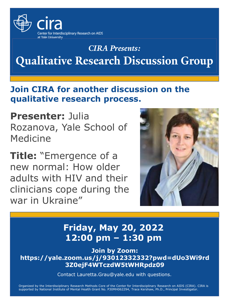

# *CIRA Presents:* **Qualitative Research Discussion Group**

### **Join CIRA for another discussion on the qualitative research process.**

**Presenter:** Julia Rozanova, Yale School of Medicine

**Title:** "Emergence of a new normal: How older adults with HIV and their clinicians cope during the war in Ukraine"



## **Friday, May 20, 2022 12:00 pm – 1:30 pm**

**Join by Zoom: [https://yale.zoom.us/j/93012332332?pwd=dUo3Wi9rd](https://yale.zoom.us/j/93012332332?pwd=dUo3Wi9rd3Z0ejF4WTczdW5tWHRpdz09) 3Z0ejF4WTczdW5tWHRpdz09**

[Contact Lauretta.Grau@yale.edu with questions.](mailto:Lauretta.Grau@yale.edu)

Organized by the Interdisciplinary Research Methods Core of the Center for Interdisciplinary Research on AIDS (CIRA). CIRA is supported by National Institute of Mental Health Grant No. P30MH062294, Trace Kershaw, Ph.D., Principal Investigator.